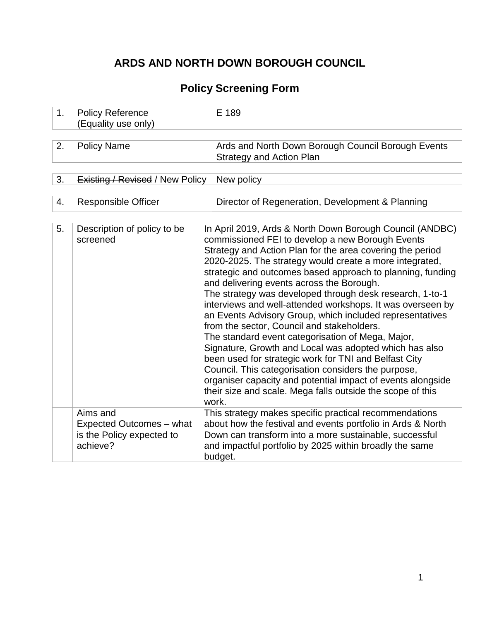# **ARDS AND NORTH DOWN BOROUGH COUNCIL**

# **Policy Screening Form**

| 1. | <b>Policy Reference</b><br>(Equality use only)                                | E 189                                                                                                                                                                                                                                                                                                                                                                                                                                                                                                                                                                                                                                                                                                                                                                                                                                                                                                                                                    |  |  |  |  |  |  |
|----|-------------------------------------------------------------------------------|----------------------------------------------------------------------------------------------------------------------------------------------------------------------------------------------------------------------------------------------------------------------------------------------------------------------------------------------------------------------------------------------------------------------------------------------------------------------------------------------------------------------------------------------------------------------------------------------------------------------------------------------------------------------------------------------------------------------------------------------------------------------------------------------------------------------------------------------------------------------------------------------------------------------------------------------------------|--|--|--|--|--|--|
| 2. | <b>Policy Name</b>                                                            | Ards and North Down Borough Council Borough Events<br><b>Strategy and Action Plan</b>                                                                                                                                                                                                                                                                                                                                                                                                                                                                                                                                                                                                                                                                                                                                                                                                                                                                    |  |  |  |  |  |  |
| 3. | <b>Existing / Revised / New Policy</b>                                        | New policy                                                                                                                                                                                                                                                                                                                                                                                                                                                                                                                                                                                                                                                                                                                                                                                                                                                                                                                                               |  |  |  |  |  |  |
| 4. | <b>Responsible Officer</b>                                                    | Director of Regeneration, Development & Planning                                                                                                                                                                                                                                                                                                                                                                                                                                                                                                                                                                                                                                                                                                                                                                                                                                                                                                         |  |  |  |  |  |  |
| 5. | Description of policy to be<br>screened                                       | In April 2019, Ards & North Down Borough Council (ANDBC)<br>commissioned FEI to develop a new Borough Events<br>Strategy and Action Plan for the area covering the period<br>2020-2025. The strategy would create a more integrated,<br>strategic and outcomes based approach to planning, funding<br>and delivering events across the Borough.<br>The strategy was developed through desk research, 1-to-1<br>interviews and well-attended workshops. It was overseen by<br>an Events Advisory Group, which included representatives<br>from the sector, Council and stakeholders.<br>The standard event categorisation of Mega, Major,<br>Signature, Growth and Local was adopted which has also<br>been used for strategic work for TNI and Belfast City<br>Council. This categorisation considers the purpose,<br>organiser capacity and potential impact of events alongside<br>their size and scale. Mega falls outside the scope of this<br>work. |  |  |  |  |  |  |
|    | Aims and<br>Expected Outcomes - what<br>is the Policy expected to<br>achieve? | This strategy makes specific practical recommendations<br>about how the festival and events portfolio in Ards & North<br>Down can transform into a more sustainable, successful<br>and impactful portfolio by 2025 within broadly the same<br>budget.                                                                                                                                                                                                                                                                                                                                                                                                                                                                                                                                                                                                                                                                                                    |  |  |  |  |  |  |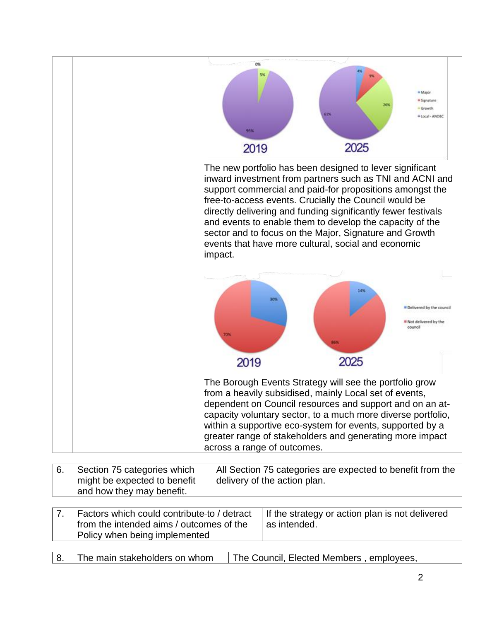

| Section 75 categories which                               | All Section 75 categories are expected to benefit from the |
|-----------------------------------------------------------|------------------------------------------------------------|
| might be expected to benefit<br>and how they may benefit. | delivery of the action plan.                               |
|                                                           |                                                            |

| 7. Factors which could contribute-to / detract | If the strategy or action plan is not delivered |
|------------------------------------------------|-------------------------------------------------|
| from the intended aims / outcomes of the       | as intended.                                    |
| Policy when being implemented                  |                                                 |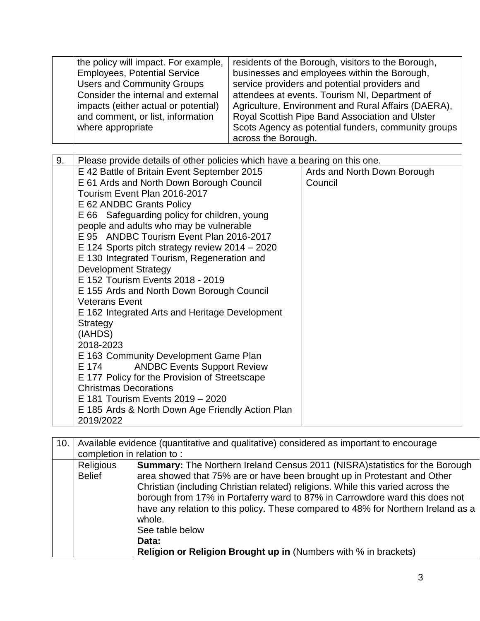| the policy will impact. For example, | residents of the Borough, visitors to the Borough,  |
|--------------------------------------|-----------------------------------------------------|
| <b>Employees, Potential Service</b>  | businesses and employees within the Borough,        |
| <b>Users and Community Groups</b>    | service providers and potential providers and       |
| Consider the internal and external   | attendees at events. Tourism NI, Department of      |
| impacts (either actual or potential) | Agriculture, Environment and Rural Affairs (DAERA), |
| and comment, or list, information    | Royal Scottish Pipe Band Association and Ulster     |
| where appropriate                    | Scots Agency as potential funders, community groups |
|                                      | across the Borough.                                 |

| 10. |                                   | Available evidence (quantitative and qualitative) considered as important to encourage                                                                                                                                                                                                                                                                                                                                                                                                                                                 |  |  |  |  |  |  |  |  |
|-----|-----------------------------------|----------------------------------------------------------------------------------------------------------------------------------------------------------------------------------------------------------------------------------------------------------------------------------------------------------------------------------------------------------------------------------------------------------------------------------------------------------------------------------------------------------------------------------------|--|--|--|--|--|--|--|--|
|     | completion in relation to:        |                                                                                                                                                                                                                                                                                                                                                                                                                                                                                                                                        |  |  |  |  |  |  |  |  |
|     | <b>Religious</b><br><b>Belief</b> | <b>Summary:</b> The Northern Ireland Census 2011 (NISRA) statistics for the Borough<br>area showed that 75% are or have been brought up in Protestant and Other<br>Christian (including Christian related) religions. While this varied across the<br>borough from 17% in Portaferry ward to 87% in Carrowdore ward this does not<br>have any relation to this policy. These compared to 48% for Northern Ireland as a<br>whole.<br>See table below<br>Data:<br><b>Religion or Religion Brought up in (Numbers with % in brackets)</b> |  |  |  |  |  |  |  |  |
|     |                                   |                                                                                                                                                                                                                                                                                                                                                                                                                                                                                                                                        |  |  |  |  |  |  |  |  |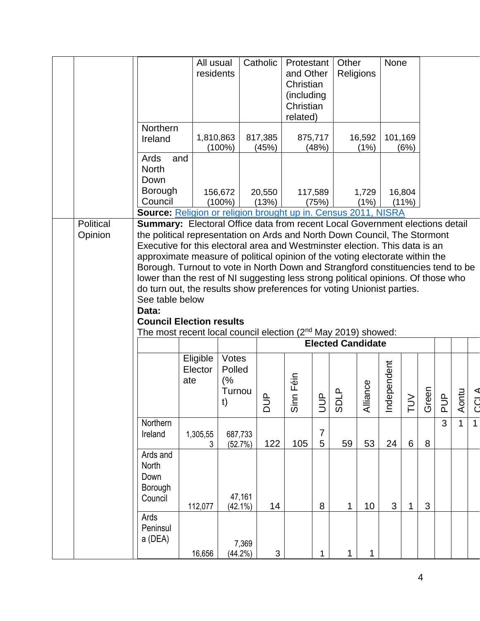|  |                                                                                                                                                                                                                                                                                                                                                                                                                                                                                                                                                                      |                                                                                                                                                              | All usual<br>residents     |                                       | Catholic         | Protestant<br>and Other<br>Christian<br>(including<br>Christian<br>related) |                               | Other<br>Religions       |                | None           |                    |          |                                      |              |              |
|--|----------------------------------------------------------------------------------------------------------------------------------------------------------------------------------------------------------------------------------------------------------------------------------------------------------------------------------------------------------------------------------------------------------------------------------------------------------------------------------------------------------------------------------------------------------------------|--------------------------------------------------------------------------------------------------------------------------------------------------------------|----------------------------|---------------------------------------|------------------|-----------------------------------------------------------------------------|-------------------------------|--------------------------|----------------|----------------|--------------------|----------|--------------------------------------|--------------|--------------|
|  |                                                                                                                                                                                                                                                                                                                                                                                                                                                                                                                                                                      | Northern<br>Ireland                                                                                                                                          | 1,810,863                  | $(100\%)$                             | 817,385<br>(45%) |                                                                             | 875,717<br>(48%)              |                          | 16,592<br>(1%) | 101,169        | (6%)               |          |                                      |              |              |
|  |                                                                                                                                                                                                                                                                                                                                                                                                                                                                                                                                                                      | Ards<br>and<br><b>North</b><br>Down                                                                                                                          |                            |                                       |                  |                                                                             |                               |                          |                |                |                    |          |                                      |              |              |
|  |                                                                                                                                                                                                                                                                                                                                                                                                                                                                                                                                                                      | Borough<br>Council                                                                                                                                           |                            | 156,672<br>$(100\%)$                  | 20,550<br>(13%)  |                                                                             | 117,589<br>(75%)              |                          | 1,729<br>(1%)  |                | 16,804<br>$(11\%)$ |          |                                      |              |              |
|  | Political                                                                                                                                                                                                                                                                                                                                                                                                                                                                                                                                                            | <b>Source:</b> Religion or religion brought up in. Census 2011, NISRA<br><b>Summary:</b> Electoral Office data from recent Local Government elections detail |                            |                                       |                  |                                                                             |                               |                          |                |                |                    |          |                                      |              |              |
|  | Opinion<br>the political representation on Ards and North Down Council, The Stormont<br>Executive for this electoral area and Westminster election. This data is an<br>approximate measure of political opinion of the voting electorate within the<br>Borough. Turnout to vote in North Down and Strangford constituencies tend to be<br>lower than the rest of NI suggesting less strong political opinions. Of those who<br>do turn out, the results show preferences for voting Unionist parties.<br>See table below<br>Data:<br><b>Council Election results</b> |                                                                                                                                                              |                            |                                       |                  |                                                                             |                               |                          |                |                |                    |          |                                      |              |              |
|  |                                                                                                                                                                                                                                                                                                                                                                                                                                                                                                                                                                      | The most recent local council election $(2^{nd}$ May 2019) showed:                                                                                           |                            |                                       |                  |                                                                             |                               | <b>Elected Candidate</b> |                |                |                    |          |                                      |              |              |
|  |                                                                                                                                                                                                                                                                                                                                                                                                                                                                                                                                                                      |                                                                                                                                                              | Eligible<br>Elector<br>ate | Votes<br>Polled<br>(%<br>Turnou<br>t) | ದ                | Sinn Féin                                                                   | $\mathbf{\underline{a}}$<br>゠ | ്റ്                      | Alliance       | dependent<br>흐 | ≧<br>ᄃ             | een<br>ত | $\mathbf{\underline{a}}$<br><u>ה</u> | Aontu        | Č            |
|  |                                                                                                                                                                                                                                                                                                                                                                                                                                                                                                                                                                      | Northern<br>Ireland                                                                                                                                          | 1,305,55<br>3              | 687,733<br>(52.7%)                    | 122              | 105                                                                         | $\overline{7}$<br>5           | 59                       | 53             | 24             | 6                  | 8        | $\overline{3}$                       | $\mathbf{1}$ | $\mathbf{1}$ |
|  |                                                                                                                                                                                                                                                                                                                                                                                                                                                                                                                                                                      | Ards and<br>North<br>Down<br>Borough<br>Council                                                                                                              | 112,077                    | 47,161<br>$(42.1\%)$                  | 14               |                                                                             | 8                             | 1                        | 10             | 3              | 1                  | 3        |                                      |              |              |
|  |                                                                                                                                                                                                                                                                                                                                                                                                                                                                                                                                                                      | Ards<br>Peninsul<br>a (DEA)                                                                                                                                  |                            | 7,369                                 |                  |                                                                             |                               |                          |                |                |                    |          |                                      |              |              |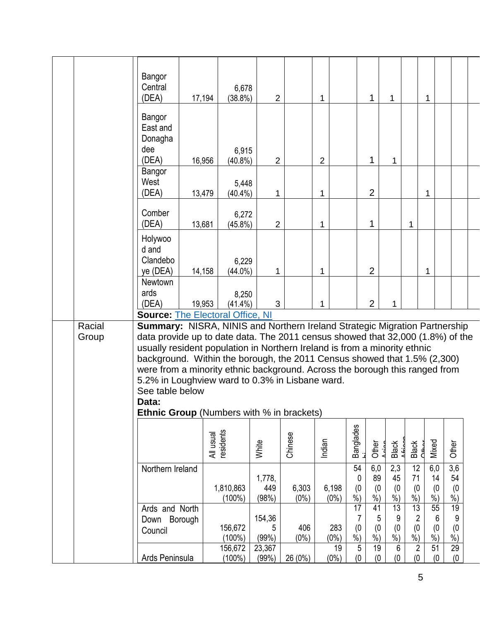|  |                 | Bangor<br>Central<br>(DEA)                                                                                                                                                                                                                                                                                                                                                                                                                                                                                                              | 17,194    | 6,678<br>$(38.8\%)$    | $\overline{2}$         |                  | 1                |                         | 1                         | 1                               |                          | 1                       |                                        |
|--|-----------------|-----------------------------------------------------------------------------------------------------------------------------------------------------------------------------------------------------------------------------------------------------------------------------------------------------------------------------------------------------------------------------------------------------------------------------------------------------------------------------------------------------------------------------------------|-----------|------------------------|------------------------|------------------|------------------|-------------------------|---------------------------|---------------------------------|--------------------------|-------------------------|----------------------------------------|
|  |                 | Bangor<br>East and<br>Donagha<br>dee<br>(DEA)                                                                                                                                                                                                                                                                                                                                                                                                                                                                                           | 16,956    | 6,915<br>$(40.8\%)$    | $\overline{2}$         |                  | $\overline{2}$   |                         | $\mathbf{1}$              | 1                               |                          |                         |                                        |
|  |                 | Bangor<br>West<br>(DEA)                                                                                                                                                                                                                                                                                                                                                                                                                                                                                                                 | 13,479    | 5,448<br>$(40.4\%)$    | 1                      |                  | $\mathbf 1$      |                         | $\overline{2}$            |                                 |                          | 1                       |                                        |
|  |                 | Comber<br>(DEA)                                                                                                                                                                                                                                                                                                                                                                                                                                                                                                                         | 13,681    | 6,272<br>$(45.8\%)$    | $\overline{2}$         |                  | 1                |                         | 1                         |                                 | 1                        |                         |                                        |
|  |                 | Holywoo<br>d and<br>Clandebo<br>ye (DEA)                                                                                                                                                                                                                                                                                                                                                                                                                                                                                                | 14,158    | 6,229<br>$(44.0\%)$    | 1                      |                  | 1                |                         | $\overline{2}$            |                                 |                          | 1                       |                                        |
|  |                 | Newtown<br>ards<br>(DEA)<br><b>Source: The Electoral Office, NI</b>                                                                                                                                                                                                                                                                                                                                                                                                                                                                     | 19,953    | 8,250<br>$(41.4\%)$    | 3                      |                  | 1                |                         | $\overline{2}$            | 1                               |                          |                         |                                        |
|  | Racial<br>Group | Summary: NISRA, NINIS and Northern Ireland Strategic Migration Partnership<br>data provide up to date data. The 2011 census showed that 32,000 (1.8%) of the<br>usually resident population in Northern Ireland is from a minority ethnic<br>background. Within the borough, the 2011 Census showed that 1.5% (2,300)<br>were from a minority ethnic background. Across the borough this ranged from<br>5.2% in Loughview ward to 0.3% in Lisbane ward.<br>See table below<br>Data:<br><b>Ethnic Group</b> (Numbers with % in brackets) |           |                        |                        |                  |                  |                         |                           |                                 |                          |                         |                                        |
|  |                 |                                                                                                                                                                                                                                                                                                                                                                                                                                                                                                                                         | All usual | residents              | White                  | Chinese          | Indian           | <b>Banglades</b>        | Other                     | Black                           | Black<br>Chhor           | Mixed                   | Other                                  |
|  |                 | Northern Ireland                                                                                                                                                                                                                                                                                                                                                                                                                                                                                                                        |           | 1,810,863<br>$(100\%)$ | 1,778,<br>449<br>(98%) | 6,303<br>$(0\%)$ | 6,198<br>$(0\%)$ | 54<br>0<br>(0)<br>$%$ ) | 6,0<br>89<br>(0)<br>$%$ ) | 2,3<br>45<br>(0)<br>$%$ )       | 12<br>71<br>(0)<br>$%$ ) | 6,0<br>14<br>(0)<br>%   | $\overline{3,6}$<br>54<br>(0)<br>$%$ ) |
|  |                 | Ards and North<br>Borough<br>Down<br>Council                                                                                                                                                                                                                                                                                                                                                                                                                                                                                            |           | 156,672<br>$(100\%)$   | 154,36<br>5<br>(99%)   | 406<br>$(0\%)$   | 283<br>$(0\%)$   | 17<br>7<br>(0)<br>$%$ ) | 41<br>5<br>(0)<br>$%$ )   | 13<br>9<br>(0)<br>$\frac{9}{6}$ | 13<br>2<br>(0)<br>$%$ )  | 55<br>6<br>(0)<br>$%$ ) | 19<br>9<br>(0)<br>$%$ )                |
|  |                 | Ards Peninsula                                                                                                                                                                                                                                                                                                                                                                                                                                                                                                                          |           | 156,672<br>$(100\%)$   | 23,367<br>(99%)        | 26 (0%)          | 19<br>$(0\%)$    | 5<br>(0)                | 19<br>(0)                 | 6<br>(0)                        | $\overline{2}$<br>(0)    | 51<br>(0)               | $\overline{29}$<br>(0)                 |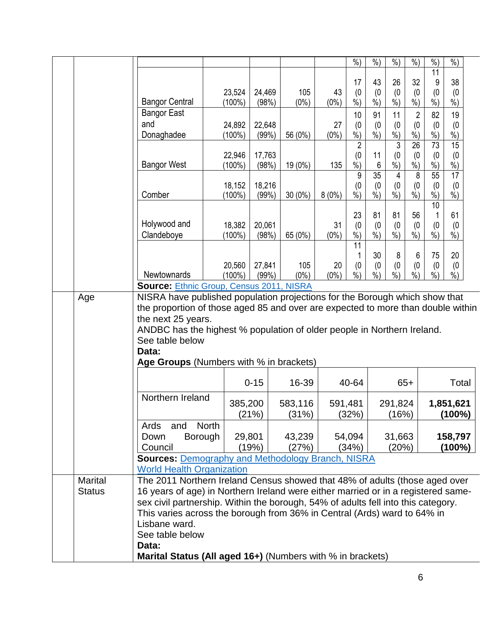|                |                                                                                                                                                               |                  |                 |                 |               | $\frac{0}{0}$        | $%$ )                | $%$ )            | $%$ )                             | $%$ )         | %                    |  |
|----------------|---------------------------------------------------------------------------------------------------------------------------------------------------------------|------------------|-----------------|-----------------|---------------|----------------------|----------------------|------------------|-----------------------------------|---------------|----------------------|--|
|                |                                                                                                                                                               |                  |                 |                 |               | 17                   | 43                   | 26               | 32                                | 11<br>9       | 38                   |  |
|                |                                                                                                                                                               | 23,524           | 24,469          | 105             | 43            | (0)                  | (0)                  | (0)              | (0)                               | (0)           | (0)                  |  |
|                | <b>Bangor Central</b>                                                                                                                                         | (100%)           | (98%)           | $(0\%)$         | $(0\%)$       | %                    | $%$ )                | $\overline{\%})$ | $\frac{\dot{\ }}{\dot{\gamma_0}}$ | $\frac{9}{6}$ | $%$ )                |  |
|                | <b>Bangor East</b><br>and                                                                                                                                     |                  |                 |                 |               | 10                   | 91                   | 11               | $\overline{2}$                    | 82            | 19                   |  |
|                | Donaghadee                                                                                                                                                    | 24,892<br>(100%) | 22,648<br>(99%) | 56 (0%)         | 27<br>$(0\%)$ | (0)<br>$\frac{0}{0}$ | (0)<br>$%$ )         | (0)<br>$%$ )     | (0)<br>%                          | (0)<br>%      | (0)<br>$\frac{0}{0}$ |  |
|                |                                                                                                                                                               |                  |                 |                 |               | $\overline{2}$       |                      | $\overline{3}$   | $\overline{26}$                   | 73            | $\overline{15}$      |  |
|                |                                                                                                                                                               | 22,946           | 17,763          |                 |               | (0)                  | 11                   | (0)              | (0)                               | (0)           | (0)                  |  |
|                | <b>Bangor West</b>                                                                                                                                            | $(100\%)$        | (98%)           | 19 (0%)         | 135           | $\frac{0}{2}$<br>9   | $6\phantom{1}$<br>35 | $%$ )<br>4       | %<br>8                            | %<br>55       | $\frac{0}{0}$<br>17  |  |
|                |                                                                                                                                                               | 18,152           | 18,216          |                 |               | (0)                  | (0)                  | (0)              | (0)                               | (0)           | (0)                  |  |
|                | Comber                                                                                                                                                        | $(100\%)$        | (99%)           | $30(0\%)$       | $8(0\%)$      | $\dot{\frac{9}{0}}$  | $\frac{9}{6}$        | $\dot{\%})$      | $\overline{\frac{9}{6}})$         | $\frac{9}{6}$ | $\dot{\%}$           |  |
|                |                                                                                                                                                               |                  |                 |                 |               | 23                   | 81                   | 81               | 56                                | 10            | 61                   |  |
|                | Holywood and                                                                                                                                                  | 18,382           | 20,061          |                 | 31            | (0)                  | (0)                  | (0)              | (0)                               | (0)           | (0)                  |  |
|                | Clandeboye                                                                                                                                                    | $(100\%)$        | (98%)           | 65 (0%)         | $(0\%)$       | $%$ )                | $%$ )                | $\frac{9}{6}$    | $%$ )                             | $\frac{9}{6}$ | $%$ )                |  |
|                |                                                                                                                                                               |                  |                 |                 |               | 11                   | 30                   | 8                | 6                                 | 75            | 20                   |  |
|                |                                                                                                                                                               | 20,560           | 27,841          | 105             | 20            | (0)                  | (0)                  | (0)              | (0)                               | (0)           | (0)                  |  |
|                | Newtownards                                                                                                                                                   | $(100\%)$        | (99%)           | $(0\%)$         | $(0\%)$       | $\frac{0}{0}$        | $%$ )                | $\frac{9}{6}$    | $\frac{9}{0}$                     | $%$ )         | $\sqrt{6}$           |  |
| Age            | <b>Source: Ethnic Group, Census 2011, NISRA</b><br>NISRA have published population projections for the Borough which show that                                |                  |                 |                 |               |                      |                      |                  |                                   |               |                      |  |
|                | the proportion of those aged 85 and over are expected to more than double within                                                                              |                  |                 |                 |               |                      |                      |                  |                                   |               |                      |  |
|                | the next 25 years.                                                                                                                                            |                  |                 |                 |               |                      |                      |                  |                                   |               |                      |  |
|                | ANDBC has the highest % population of older people in Northern Ireland.                                                                                       |                  |                 |                 |               |                      |                      |                  |                                   |               |                      |  |
|                | See table below<br>Data:                                                                                                                                      |                  |                 |                 |               |                      |                      |                  |                                   |               |                      |  |
|                | Age Groups (Numbers with % in brackets)                                                                                                                       |                  |                 |                 |               |                      |                      |                  |                                   |               |                      |  |
|                |                                                                                                                                                               |                  |                 |                 |               |                      |                      |                  |                                   |               |                      |  |
|                |                                                                                                                                                               |                  | $0 - 15$        | 16-39           |               | 40-64                |                      |                  | $65+$                             |               | Total                |  |
|                | Northern Ireland                                                                                                                                              |                  | 385,200         | 583,116         |               | 591,481              |                      | 291,824          |                                   |               | 1,851,621            |  |
|                |                                                                                                                                                               |                  | (21%)           | (31%)           |               | (32%)                |                      | (16%)            |                                   |               | $(100\%)$            |  |
|                | and<br>Ards                                                                                                                                                   | <b>North</b>     |                 |                 |               |                      |                      |                  |                                   |               |                      |  |
|                | <b>Borough</b><br>Down<br>Council                                                                                                                             |                  | 29,801<br>(19%) | 43,239<br>(27%) |               | 54,094<br>(34%)      |                      | 31,663<br>(20%)  |                                   |               | 158,797<br>$(100\%)$ |  |
|                | <b>Sources: Demography and Methodology Branch, NISRA</b>                                                                                                      |                  |                 |                 |               |                      |                      |                  |                                   |               |                      |  |
|                | <b>World Health Organization</b>                                                                                                                              |                  |                 |                 |               |                      |                      |                  |                                   |               |                      |  |
| <b>Marital</b> | The 2011 Northern Ireland Census showed that 48% of adults (those aged over                                                                                   |                  |                 |                 |               |                      |                      |                  |                                   |               |                      |  |
| <b>Status</b>  | 16 years of age) in Northern Ireland were either married or in a registered same-                                                                             |                  |                 |                 |               |                      |                      |                  |                                   |               |                      |  |
|                | sex civil partnership. Within the borough, 54% of adults fell into this category.<br>This varies across the borough from 36% in Central (Ards) ward to 64% in |                  |                 |                 |               |                      |                      |                  |                                   |               |                      |  |
|                | Lisbane ward.                                                                                                                                                 |                  |                 |                 |               |                      |                      |                  |                                   |               |                      |  |
|                | See table below                                                                                                                                               |                  |                 |                 |               |                      |                      |                  |                                   |               |                      |  |
|                | Data:                                                                                                                                                         |                  |                 |                 |               |                      |                      |                  |                                   |               |                      |  |
|                | Marital Status (All aged 16+) (Numbers with % in brackets)                                                                                                    |                  |                 |                 |               |                      |                      |                  |                                   |               |                      |  |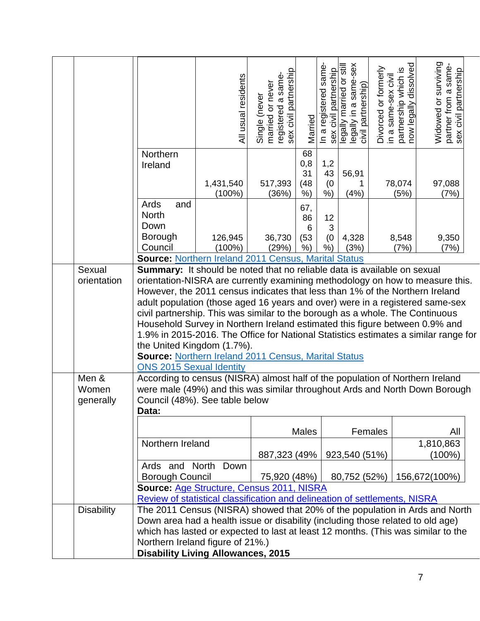|                                         |                                                                                                                                                                                                                                                                                                                                                                                                                                                                                                                                                                                                                                                                                                                                                                                                           | All usual residents | registered a same-<br>sex civil partnership<br>Single (never<br>married or never | Married                          | In a registered same-<br>sex civil partnership | legally married or still<br>legally in a same-sex<br>civil partnership) | Divorced or formerly<br>in a same-sex civil | dissolved<br>partnership which is<br>now legally dissolve | Widowed or surviving<br>partner from a same-<br>sex civil partnership |  |
|-----------------------------------------|-----------------------------------------------------------------------------------------------------------------------------------------------------------------------------------------------------------------------------------------------------------------------------------------------------------------------------------------------------------------------------------------------------------------------------------------------------------------------------------------------------------------------------------------------------------------------------------------------------------------------------------------------------------------------------------------------------------------------------------------------------------------------------------------------------------|---------------------|----------------------------------------------------------------------------------|----------------------------------|------------------------------------------------|-------------------------------------------------------------------------|---------------------------------------------|-----------------------------------------------------------|-----------------------------------------------------------------------|--|
|                                         | Northern<br>Ireland                                                                                                                                                                                                                                                                                                                                                                                                                                                                                                                                                                                                                                                                                                                                                                                       | 1,431,540<br>(100%) | 517,393<br>(36%)                                                                 | 68<br>0,8<br>31<br>(48)<br>$%$ ) | 1,2<br>43<br>(0)<br>%)                         | 56,91<br>1<br>(4% )                                                     |                                             | 78,074<br>(5%)                                            | 97,088<br>(7%)                                                        |  |
|                                         | Ards<br>and<br><b>North</b><br>Down<br><b>Borough</b><br>Council                                                                                                                                                                                                                                                                                                                                                                                                                                                                                                                                                                                                                                                                                                                                          | 126,945             | 36,730                                                                           | 67,<br>86<br>6<br>(53)           | 12<br>3<br>(0)                                 | 4,328                                                                   |                                             | 8,548                                                     | 9,350                                                                 |  |
|                                         | Source: Northern Ireland 2011 Census, Marital Status                                                                                                                                                                                                                                                                                                                                                                                                                                                                                                                                                                                                                                                                                                                                                      | $(100\%)$           | (29%)                                                                            | $%$ )                            | $%$ )                                          | (3%)                                                                    |                                             | (7%)                                                      | (7%)                                                                  |  |
| Sexual<br>orientation<br>Men &<br>Women | <b>Summary:</b> It should be noted that no reliable data is available on sexual<br>orientation-NISRA are currently examining methodology on how to measure this.<br>However, the 2011 census indicates that less than 1% of the Northern Ireland<br>adult population (those aged 16 years and over) were in a registered same-sex<br>civil partnership. This was similar to the borough as a whole. The Continuous<br>Household Survey in Northern Ireland estimated this figure between 0.9% and<br>1.9% in 2015-2016. The Office for National Statistics estimates a similar range for<br>the United Kingdom (1.7%).<br><b>Source: Northern Ireland 2011 Census, Marital Status</b><br><b>ONS 2015 Sexual Identity</b><br>According to census (NISRA) almost half of the population of Northern Ireland |                     |                                                                                  |                                  |                                                |                                                                         |                                             |                                                           |                                                                       |  |
| generally                               | were male (49%) and this was similar throughout Ards and North Down Borough<br>Council (48%). See table below<br>Data:                                                                                                                                                                                                                                                                                                                                                                                                                                                                                                                                                                                                                                                                                    |                     |                                                                                  |                                  |                                                |                                                                         |                                             |                                                           |                                                                       |  |
|                                         | Northern Ireland                                                                                                                                                                                                                                                                                                                                                                                                                                                                                                                                                                                                                                                                                                                                                                                          |                     | 887,323 (49%)                                                                    | <b>Males</b>                     |                                                | 923,540 (51%)                                                           | Females                                     |                                                           | All<br>1,810,863<br>(100%)                                            |  |
|                                         | Ards and North Down<br>Borough Council<br>Source: Age Structure, Census 2011, NISRA                                                                                                                                                                                                                                                                                                                                                                                                                                                                                                                                                                                                                                                                                                                       |                     | 75,920 (48%)                                                                     |                                  |                                                | 80,752 (52%)                                                            |                                             |                                                           | 156,672(100%)                                                         |  |
|                                         |                                                                                                                                                                                                                                                                                                                                                                                                                                                                                                                                                                                                                                                                                                                                                                                                           |                     |                                                                                  |                                  |                                                |                                                                         |                                             |                                                           |                                                                       |  |
| <b>Disability</b>                       | Review of statistical classification and delineation of settlements, NISRA<br>The 2011 Census (NISRA) showed that 20% of the population in Ards and North<br>Down area had a health issue or disability (including those related to old age)<br>which has lasted or expected to last at least 12 months. (This was similar to the<br>Northern Ireland figure of 21%.)<br><b>Disability Living Allowances, 2015</b>                                                                                                                                                                                                                                                                                                                                                                                        |                     |                                                                                  |                                  |                                                |                                                                         |                                             |                                                           |                                                                       |  |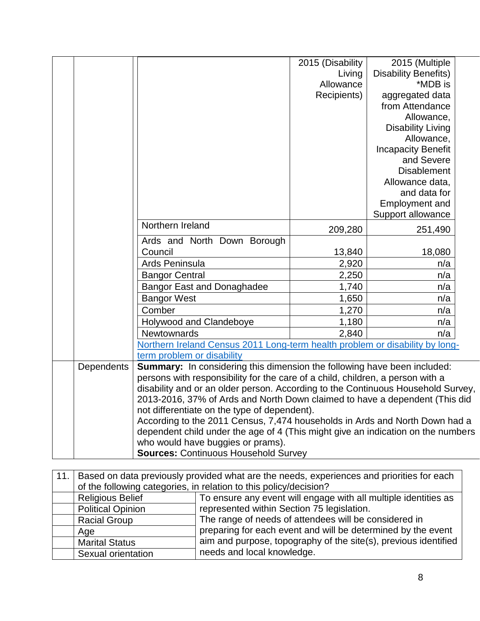|            |                                                                                  | 2015 (Disability | 2015 (Multiple              |  |
|------------|----------------------------------------------------------------------------------|------------------|-----------------------------|--|
|            |                                                                                  | Living           | <b>Disability Benefits)</b> |  |
|            |                                                                                  | Allowance        | *MDB is                     |  |
|            |                                                                                  | Recipients)      | aggregated data             |  |
|            |                                                                                  |                  | from Attendance             |  |
|            |                                                                                  |                  | Allowance,                  |  |
|            |                                                                                  |                  | <b>Disability Living</b>    |  |
|            |                                                                                  |                  | Allowance,                  |  |
|            |                                                                                  |                  | <b>Incapacity Benefit</b>   |  |
|            |                                                                                  |                  | and Severe                  |  |
|            |                                                                                  |                  | <b>Disablement</b>          |  |
|            |                                                                                  |                  | Allowance data,             |  |
|            |                                                                                  |                  | and data for                |  |
|            |                                                                                  |                  | Employment and              |  |
|            |                                                                                  |                  | Support allowance           |  |
|            | Northern Ireland                                                                 | 209,280          | 251,490                     |  |
|            | Ards and North Down Borough                                                      |                  |                             |  |
|            | Council                                                                          | 13,840           | 18,080                      |  |
|            | Ards Peninsula                                                                   | 2,920            | n/a                         |  |
|            | <b>Bangor Central</b>                                                            | 2,250            | n/a                         |  |
|            | <b>Bangor East and Donaghadee</b>                                                | 1,740            | n/a                         |  |
|            | <b>Bangor West</b>                                                               | 1,650            | n/a                         |  |
|            | Comber                                                                           | 1,270            | n/a                         |  |
|            | Holywood and Clandeboye                                                          | 1,180            | n/a                         |  |
|            | <b>Newtownards</b>                                                               | 2,840            | n/a                         |  |
|            | Northern Ireland Census 2011 Long-term health problem or disability by long-     |                  |                             |  |
|            | term problem or disability                                                       |                  |                             |  |
| Dependents | Summary: In considering this dimension the following have been included:         |                  |                             |  |
|            | persons with responsibility for the care of a child, children, a person with a   |                  |                             |  |
|            | disability and or an older person. According to the Continuous Household Survey, |                  |                             |  |
|            | 2013-2016, 37% of Ards and North Down claimed to have a dependent (This did      |                  |                             |  |
|            | not differentiate on the type of dependent).                                     |                  |                             |  |
|            | According to the 2011 Census, 7,474 households in Ards and North Down had a      |                  |                             |  |
|            | dependent child under the age of 4 (This might give an indication on the numbers |                  |                             |  |
|            | who would have buggies or prams).                                                |                  |                             |  |
|            | <b>Sources: Continuous Household Survey</b>                                      |                  |                             |  |

| 11. | Based on data previously provided what are the needs, experiences and priorities for each |                                                                 |  |
|-----|-------------------------------------------------------------------------------------------|-----------------------------------------------------------------|--|
|     | of the following categories, in relation to this policy/decision?                         |                                                                 |  |
|     | <b>Religious Belief</b>                                                                   | To ensure any event will engage with all multiple identities as |  |
|     | <b>Political Opinion</b>                                                                  | represented within Section 75 legislation.                      |  |
|     | <b>Racial Group</b>                                                                       | The range of needs of attendees will be considered in           |  |
|     | Age                                                                                       | preparing for each event and will be determined by the event    |  |
|     | <b>Marital Status</b>                                                                     | aim and purpose, topography of the site(s), previous identified |  |
|     | Sexual orientation                                                                        | needs and local knowledge.                                      |  |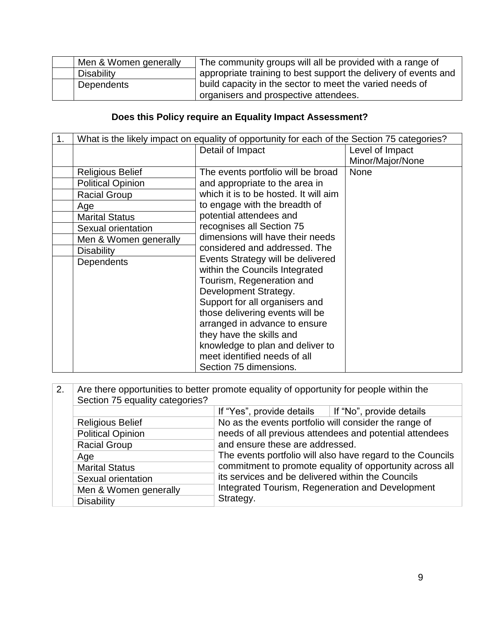| Men & Women generally | The community groups will all be provided with a range of       |
|-----------------------|-----------------------------------------------------------------|
| Disability            | appropriate training to best support the delivery of events and |
| <b>Dependents</b>     | build capacity in the sector to meet the varied needs of        |
|                       | organisers and prospective attendees.                           |

## **Does this Policy require an Equality Impact Assessment?**

| 1. | What is the likely impact on equality of opportunity for each of the Section 75 categories? |                                       |                  |
|----|---------------------------------------------------------------------------------------------|---------------------------------------|------------------|
|    |                                                                                             | Detail of Impact                      | Level of Impact  |
|    |                                                                                             |                                       | Minor/Major/None |
|    | <b>Religious Belief</b>                                                                     | The events portfolio will be broad    | <b>None</b>      |
|    | <b>Political Opinion</b>                                                                    | and appropriate to the area in        |                  |
|    | <b>Racial Group</b>                                                                         | which it is to be hosted. It will aim |                  |
|    | Age                                                                                         | to engage with the breadth of         |                  |
|    | <b>Marital Status</b>                                                                       | potential attendees and               |                  |
|    | Sexual orientation                                                                          | recognises all Section 75             |                  |
|    | Men & Women generally                                                                       | dimensions will have their needs      |                  |
|    | <b>Disability</b>                                                                           | considered and addressed. The         |                  |
|    | Dependents                                                                                  | Events Strategy will be delivered     |                  |
|    |                                                                                             | within the Councils Integrated        |                  |
|    |                                                                                             | Tourism, Regeneration and             |                  |
|    |                                                                                             | Development Strategy.                 |                  |
|    |                                                                                             | Support for all organisers and        |                  |
|    |                                                                                             | those delivering events will be       |                  |
|    |                                                                                             | arranged in advance to ensure         |                  |
|    |                                                                                             | they have the skills and              |                  |
|    |                                                                                             | knowledge to plan and deliver to      |                  |
|    |                                                                                             | meet identified needs of all          |                  |
|    |                                                                                             | Section 75 dimensions.                |                  |

| 2. | Are there opportunities to better promote equality of opportunity for people within the<br>Section 75 equality categories? |                                                                                                                                                                                                                                                                                                                               |  |
|----|----------------------------------------------------------------------------------------------------------------------------|-------------------------------------------------------------------------------------------------------------------------------------------------------------------------------------------------------------------------------------------------------------------------------------------------------------------------------|--|
|    |                                                                                                                            | If "Yes", provide details $\parallel$ If "No", provide details                                                                                                                                                                                                                                                                |  |
|    | <b>Religious Belief</b>                                                                                                    | No as the events portfolio will consider the range of                                                                                                                                                                                                                                                                         |  |
|    | <b>Political Opinion</b>                                                                                                   | needs of all previous attendees and potential attendees<br>and ensure these are addressed.<br>The events portfolio will also have regard to the Councils<br>commitment to promote equality of opportunity across all<br>its services and be delivered within the Councils<br>Integrated Tourism, Regeneration and Development |  |
|    | <b>Racial Group</b>                                                                                                        |                                                                                                                                                                                                                                                                                                                               |  |
|    | Age                                                                                                                        |                                                                                                                                                                                                                                                                                                                               |  |
|    | <b>Marital Status</b>                                                                                                      |                                                                                                                                                                                                                                                                                                                               |  |
|    | Sexual orientation                                                                                                         |                                                                                                                                                                                                                                                                                                                               |  |
|    | Men & Women generally                                                                                                      |                                                                                                                                                                                                                                                                                                                               |  |
|    | <b>Disability</b>                                                                                                          | Strategy.                                                                                                                                                                                                                                                                                                                     |  |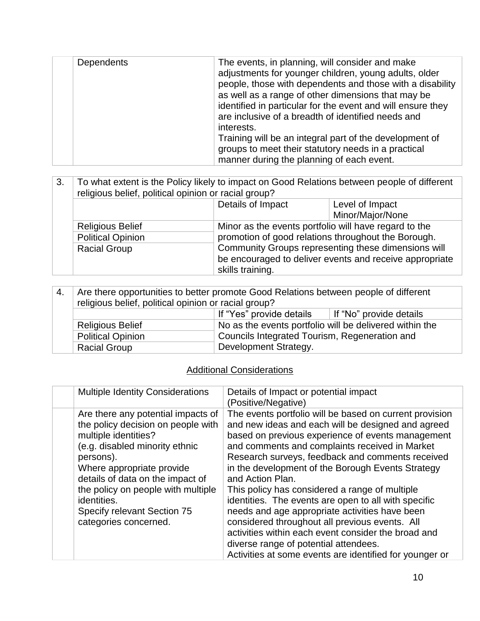| Dependents | The events, in planning, will consider and make<br>adjustments for younger children, young adults, older<br>people, those with dependents and those with a disability<br>as well as a range of other dimensions that may be<br>identified in particular for the event and will ensure they<br>are inclusive of a breadth of identified needs and<br>interests.<br>Training will be an integral part of the development of<br>groups to meet their statutory needs in a practical<br>manner during the planning of each event. |
|------------|-------------------------------------------------------------------------------------------------------------------------------------------------------------------------------------------------------------------------------------------------------------------------------------------------------------------------------------------------------------------------------------------------------------------------------------------------------------------------------------------------------------------------------|
|------------|-------------------------------------------------------------------------------------------------------------------------------------------------------------------------------------------------------------------------------------------------------------------------------------------------------------------------------------------------------------------------------------------------------------------------------------------------------------------------------------------------------------------------------|

| 3. | To what extent is the Policy likely to impact on Good Relations between people of different<br>religious belief, political opinion or racial group? |                                                       |                                                                                                                |
|----|-----------------------------------------------------------------------------------------------------------------------------------------------------|-------------------------------------------------------|----------------------------------------------------------------------------------------------------------------|
|    |                                                                                                                                                     | Details of Impact                                     | Level of Impact                                                                                                |
|    |                                                                                                                                                     |                                                       | Minor/Major/None                                                                                               |
|    | <b>Religious Belief</b>                                                                                                                             | Minor as the events portfolio will have regard to the |                                                                                                                |
|    | <b>Political Opinion</b>                                                                                                                            | promotion of good relations throughout the Borough.   |                                                                                                                |
|    | <b>Racial Group</b>                                                                                                                                 | skills training.                                      | Community Groups representing these dimensions will<br>be encouraged to deliver events and receive appropriate |

| 4. | Are there opportunities to better promote Good Relations between people of different |                                                         |  |
|----|--------------------------------------------------------------------------------------|---------------------------------------------------------|--|
|    | religious belief, political opinion or racial group?                                 |                                                         |  |
|    | If "Yes" provide details<br>If "No" provide details                                  |                                                         |  |
|    | <b>Religious Belief</b>                                                              | No as the events portfolio will be delivered within the |  |
|    | <b>Political Opinion</b>                                                             | Councils Integrated Tourism, Regeneration and           |  |
|    | <b>Racial Group</b>                                                                  | Development Strategy.                                   |  |

## **Additional Considerations**

| <b>Multiple Identity Considerations</b>                                                                                                                                                                                                                                                                                       | Details of Impact or potential impact<br>(Positive/Negative)                                                                                                                                                                                                                                                                                                                                                                                                                                                                                                                                                                                                                                                               |
|-------------------------------------------------------------------------------------------------------------------------------------------------------------------------------------------------------------------------------------------------------------------------------------------------------------------------------|----------------------------------------------------------------------------------------------------------------------------------------------------------------------------------------------------------------------------------------------------------------------------------------------------------------------------------------------------------------------------------------------------------------------------------------------------------------------------------------------------------------------------------------------------------------------------------------------------------------------------------------------------------------------------------------------------------------------------|
| Are there any potential impacts of<br>the policy decision on people with<br>multiple identities?<br>(e.g. disabled minority ethnic<br>persons).<br>Where appropriate provide<br>details of data on the impact of<br>the policy on people with multiple<br>identities.<br>Specify relevant Section 75<br>categories concerned. | The events portfolio will be based on current provision<br>and new ideas and each will be designed and agreed<br>based on previous experience of events management<br>and comments and complaints received in Market<br>Research surveys, feedback and comments received<br>in the development of the Borough Events Strategy<br>and Action Plan.<br>This policy has considered a range of multiple<br>identities. The events are open to all with specific<br>needs and age appropriate activities have been<br>considered throughout all previous events. All<br>activities within each event consider the broad and<br>diverse range of potential attendees.<br>Activities at some events are identified for younger or |
|                                                                                                                                                                                                                                                                                                                               |                                                                                                                                                                                                                                                                                                                                                                                                                                                                                                                                                                                                                                                                                                                            |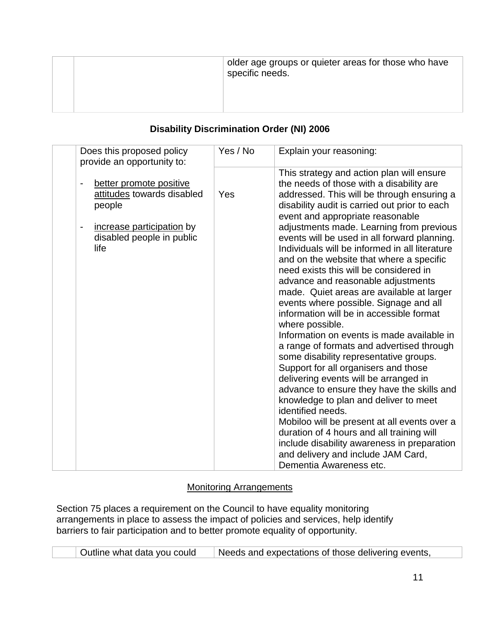|  | older age groups or quieter areas for those who have<br>specific needs. |
|--|-------------------------------------------------------------------------|
|  |                                                                         |

### **Disability Discrimination Order (NI) 2006**

| Does this proposed policy<br>provide an opportunity to:                                                                                                               | Yes / No | Explain your reasoning:                                                                                                                                                                                                                                                                                                                                                                                                                                                                                                                                                                                                                                                                                                                                                                                                                                                                                                                                                                                                                                                                                                                                                                                 |
|-----------------------------------------------------------------------------------------------------------------------------------------------------------------------|----------|---------------------------------------------------------------------------------------------------------------------------------------------------------------------------------------------------------------------------------------------------------------------------------------------------------------------------------------------------------------------------------------------------------------------------------------------------------------------------------------------------------------------------------------------------------------------------------------------------------------------------------------------------------------------------------------------------------------------------------------------------------------------------------------------------------------------------------------------------------------------------------------------------------------------------------------------------------------------------------------------------------------------------------------------------------------------------------------------------------------------------------------------------------------------------------------------------------|
| better promote positive<br>$\overline{a}$<br>attitudes towards disabled<br>people<br>increase participation by<br>$\overline{a}$<br>disabled people in public<br>life | Yes      | This strategy and action plan will ensure<br>the needs of those with a disability are<br>addressed. This will be through ensuring a<br>disability audit is carried out prior to each<br>event and appropriate reasonable<br>adjustments made. Learning from previous<br>events will be used in all forward planning.<br>Individuals will be informed in all literature<br>and on the website that where a specific<br>need exists this will be considered in<br>advance and reasonable adjustments<br>made. Quiet areas are available at larger<br>events where possible. Signage and all<br>information will be in accessible format<br>where possible.<br>Information on events is made available in<br>a range of formats and advertised through<br>some disability representative groups.<br>Support for all organisers and those<br>delivering events will be arranged in<br>advance to ensure they have the skills and<br>knowledge to plan and deliver to meet<br>identified needs.<br>Mobiloo will be present at all events over a<br>duration of 4 hours and all training will<br>include disability awareness in preparation<br>and delivery and include JAM Card,<br>Dementia Awareness etc. |

### Monitoring Arrangements

Section 75 places a requirement on the Council to have equality monitoring arrangements in place to assess the impact of policies and services, help identify barriers to fair participation and to better promote equality of opportunity.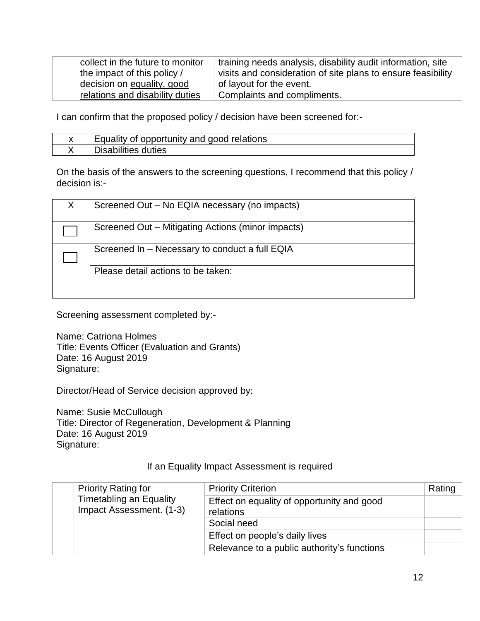| collect in the future to monitor | training needs analysis, disability audit information, site  |
|----------------------------------|--------------------------------------------------------------|
| the impact of this policy /      | visits and consideration of site plans to ensure feasibility |
| decision on equality, good       | of layout for the event.                                     |
| relations and disability duties  | Complaints and compliments.                                  |

I can confirm that the proposed policy / decision have been screened for:-

| Equality of opportunity and good relations |
|--------------------------------------------|
| <sup>I</sup> Disabilities duties           |

On the basis of the answers to the screening questions, I recommend that this policy / decision is:-

| Screened Out - No EQIA necessary (no impacts)     |
|---------------------------------------------------|
| Screened Out – Mitigating Actions (minor impacts) |
| Screened In - Necessary to conduct a full EQIA    |
| Please detail actions to be taken:                |
|                                                   |

Screening assessment completed by:-

Name: Catriona Holmes Title: Events Officer (Evaluation and Grants) Date: 16 August 2019 Signature:

Director/Head of Service decision approved by:

Name: Susie McCullough Title: Director of Regeneration, Development & Planning Date: 16 August 2019 Signature:

#### If an Equality Impact Assessment is required

|  | <b>Priority Rating for</b><br><b>Timetabling an Equality</b><br>Impact Assessment. (1-3) | <b>Priority Criterion</b>                               | Rating |
|--|------------------------------------------------------------------------------------------|---------------------------------------------------------|--------|
|  |                                                                                          | Effect on equality of opportunity and good<br>relations |        |
|  |                                                                                          | Social need                                             |        |
|  |                                                                                          | Effect on people's daily lives                          |        |
|  |                                                                                          | Relevance to a public authority's functions             |        |